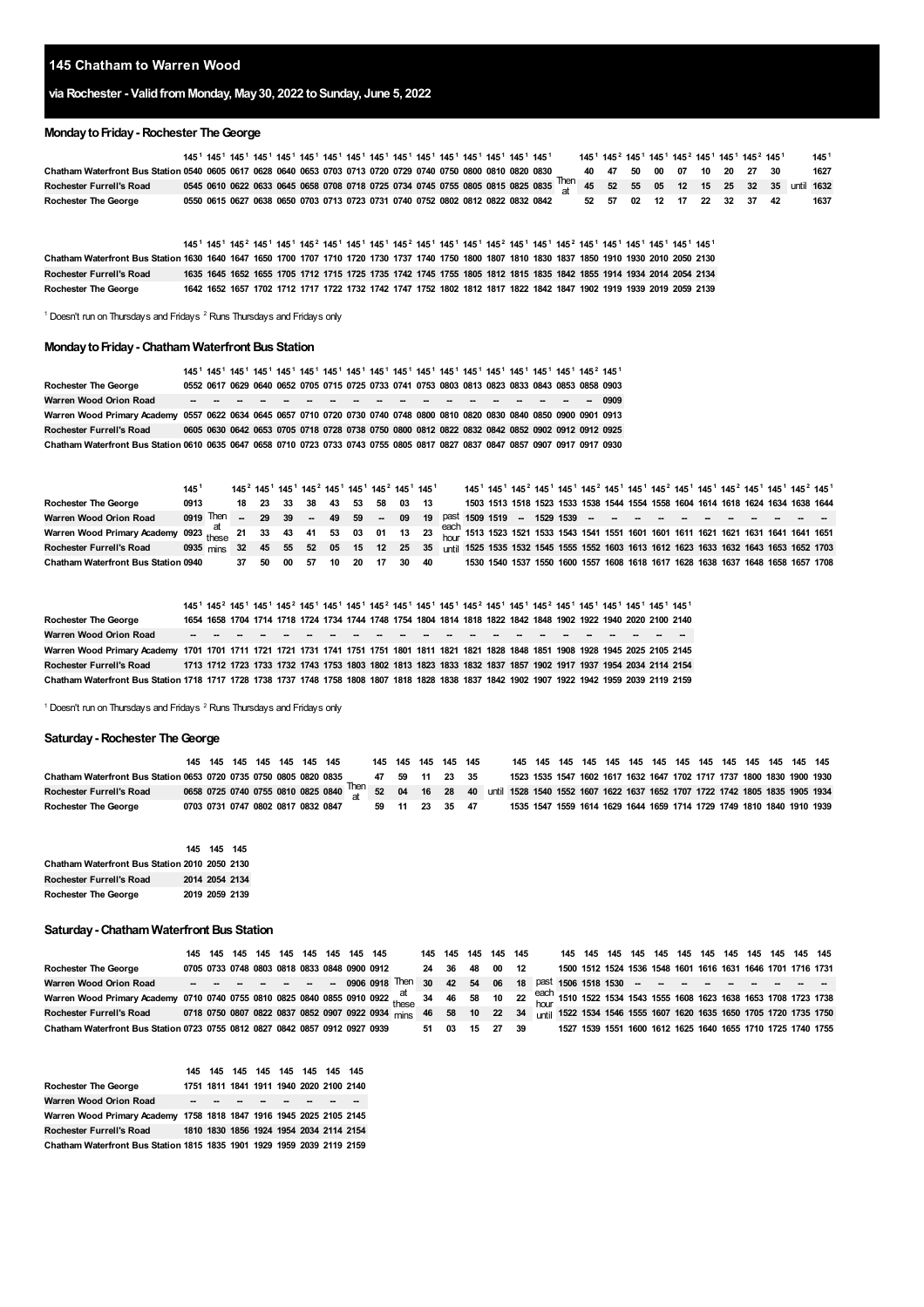## **Chatham to Warren Wood**

# **via Rochester - ValidfromMonday, May30, 2022 toSunday, June 5, 2022**

#### **MondaytoFriday- Rochester TheGeorge**

|                                                                                                                |  |  | 145 <sup>1</sup> 145 <sup>1</sup> 145 <sup>1</sup> 145 <sup>1</sup> 145 <sup>1</sup> 145 <sup>1</sup> 145 <sup>1</sup> 145 <sup>1</sup> 145 <sup>1</sup> 145 <sup>1</sup> 145 <sup>1</sup> 145 <sup>1</sup> 145 <sup>1</sup> 145 <sup>1</sup> 145 <sup>1</sup> |  |  |  |  |  |  |  |                            |  |  | 145 <sup>1</sup> 145 <sup>2</sup> 145 <sup>1</sup> 145 <sup>1</sup> 145 <sup>2</sup> 145 <sup>1</sup> 145 <sup>1</sup> 145 <sup>2</sup> 145 <sup>1</sup> |                                                                                                                                               | 145 <sup>1</sup> |
|----------------------------------------------------------------------------------------------------------------|--|--|----------------------------------------------------------------------------------------------------------------------------------------------------------------------------------------------------------------------------------------------------------------|--|--|--|--|--|--|--|----------------------------|--|--|----------------------------------------------------------------------------------------------------------------------------------------------------------|-----------------------------------------------------------------------------------------------------------------------------------------------|------------------|
| Chatham Waterfront Bus Station 0540 0605 0617 0628 0640 0653 0703 0713 0720 0729 0740 0750 0800 0810 0820 0830 |  |  |                                                                                                                                                                                                                                                                |  |  |  |  |  |  |  | 40 47 50 00 07 10 20 27 30 |  |  |                                                                                                                                                          |                                                                                                                                               | 1627             |
| Rochester Furrell's Road                                                                                       |  |  |                                                                                                                                                                                                                                                                |  |  |  |  |  |  |  |                            |  |  |                                                                                                                                                          | 0545 0610 0622 0633 0645 0658 0708 0718 0725 0734 0745 0755 0805 0815 0825 0835 $\frac{\text{Then}}{3}$ 45 52 55 05 12 15 25 32 35 until 1632 |                  |
| <b>Rochester The George</b>                                                                                    |  |  | 0550 0615 0627 0638 0650 0703 0713 0723 0731 0740 0752 0802 0812 0822 0832 0842                                                                                                                                                                                |  |  |  |  |  |  |  | 52 57 02 12 17 22 32 37 42 |  |  |                                                                                                                                                          |                                                                                                                                               | 1637             |

Chatham Waterfront Bus Station 1630 1640 1647 1650 1700 1707 1710 1720 1730 1737 1740 1750 1800 1807 1810 1830 1837 1850 1910 1930 2010 2050 2130 Rochester Furrell's Road 1635 1645 1652 1655 1705 1712 1715 1725 1735 1742 1745 1755 1805 1812 1815 1835 1842 1855 1914 1934 2014 2054 2134 **Rochester The George**  $145^1$   $145^1$   $145^2$  $145^2$   $145^1$   $145^1$   $145^1$   $145^1$   $145^1$   $145^1$   $145^1$   $145^1$   $145^1$   $145^1$   $145^1$   $145^1$   $145^1$   $145^1$   $145^1$   $145^1$   $145^1$   $145^1$ 1642 1652 1657 1702 1712 1717 1722 1732 1742 1747 1752 1802 1812 1817 1822 1842 1847 1902 1919 1939 2019 2059 2139

<span id="page-0-1"></span><span id="page-0-0"></span>Doesn't run on Thursdays and Fridays  $2$  Runs Thursdays and Fridays only

## **MondaytoFriday- Chatham Waterfront Bus Station**

|                                                                                                                               |  |  |  |  |  |  |  |  | 145 <sup>1</sup> 145 <sup>1</sup> 145 <sup>1</sup> 145 <sup>1</sup> 145 <sup>1</sup> 145 <sup>1</sup> 145 <sup>1</sup> 145 <sup>1</sup> 145 <sup>1</sup> 145 <sup>1</sup> 145 <sup>1</sup> 145 <sup>1</sup> 145 <sup>1</sup> 145 <sup>1</sup> 145 <sup>1</sup> 145 <sup>1</sup> 145 <sup>2</sup> 145 <sup>1</sup> |                                                                                                |
|-------------------------------------------------------------------------------------------------------------------------------|--|--|--|--|--|--|--|--|-------------------------------------------------------------------------------------------------------------------------------------------------------------------------------------------------------------------------------------------------------------------------------------------------------------------|------------------------------------------------------------------------------------------------|
| <b>Rochester The George</b>                                                                                                   |  |  |  |  |  |  |  |  | 0552 0617 0629 0640 0652 0705 0715 0725 0733 0741 0753 0803 0813 0823 0833 0843 0853 0858 0903                                                                                                                                                                                                                    |                                                                                                |
| Warren Wood Orion Road                                                                                                        |  |  |  |  |  |  |  |  |                                                                                                                                                                                                                                                                                                                   |                                                                                                |
| Warren Wood Primary Academy 0557 0622 0634 0645 0657 0710 0720 0730 0740 0748 0800 0810 0820 0830 0840 0850 0900 0901 0913    |  |  |  |  |  |  |  |  |                                                                                                                                                                                                                                                                                                                   |                                                                                                |
| <b>Rochester Furrell's Road</b>                                                                                               |  |  |  |  |  |  |  |  |                                                                                                                                                                                                                                                                                                                   | 0605 0630 0642 0653 0705 0718 0728 0738 0750 0800 0812 0822 0832 0842 0852 0902 0912 0912 0925 |
| Chatham Waterfront Bus Station 0610 0635 0647 0658 0710 0723 0733 0743 0755 0805 0817 0827 0837 0847 0857 0907 0917 0917 0930 |  |  |  |  |  |  |  |  |                                                                                                                                                                                                                                                                                                                   |                                                                                                |

|                                                                                                                                                                | $145^\circ$                                                                                                                |  |       |      | 145 <sup>2</sup> 145 <sup>1</sup> 145 <sup>1</sup> 145 <sup>2</sup> 145 <sup>1</sup> 145 <sup>1</sup> 145 <sup>2</sup> 145 <sup>1</sup> 145 <sup>1</sup> |    |    |       |     |       |  |  | 145 <sup>1</sup> 145 <sup>1</sup> 145 <sup>2</sup> 145 <sup>1</sup> 145 <sup>1</sup> 145 <sup>2</sup> 145 <sup>1</sup> 145 <sup>1</sup> 145 <sup>2</sup> 145 <sup>1</sup> 145 <sup>1</sup> 145 <sup>2</sup> 145 <sup>1</sup> 145 <sup>2</sup> 145 <sup>2</sup> |  |  |  |  |  |  |
|----------------------------------------------------------------------------------------------------------------------------------------------------------------|----------------------------------------------------------------------------------------------------------------------------|--|-------|------|----------------------------------------------------------------------------------------------------------------------------------------------------------|----|----|-------|-----|-------|--|--|----------------------------------------------------------------------------------------------------------------------------------------------------------------------------------------------------------------------------------------------------------------|--|--|--|--|--|--|
| <b>Rochester The George</b>                                                                                                                                    | 0913                                                                                                                       |  | 18 23 | - 33 | 38                                                                                                                                                       | 43 |    | 53 58 |     | 03 13 |  |  | 1503 1513 1518 1523 1533 1538 1544 1554 1558 1604 1614 1618 1624 1634 1638 1644                                                                                                                                                                                |  |  |  |  |  |  |
| Warren Wood Orion Road                                                                                                                                         | 0919 Then - 29 39 - 49 59 - 09 19 Past 1509 1519 - 1529 1539 - - - - - - - - - - -                                         |  |       |      |                                                                                                                                                          |    |    |       |     |       |  |  |                                                                                                                                                                                                                                                                |  |  |  |  |  |  |
| Warren Wood Primary Academy 0923 at 21 33 43 41 53 03 01 13 23 <sup>each</sup> 1513 1523 1521 1533 1543 1541 1551 1601 1601 1611 1621 1621 1621 1631 1641 1651 |                                                                                                                            |  |       |      |                                                                                                                                                          |    |    |       |     |       |  |  |                                                                                                                                                                                                                                                                |  |  |  |  |  |  |
| <b>Rochester Furrell's Road</b>                                                                                                                                | 0935 mins 32 45 55 52 05 15 12 25 35 until 1525 1535 1532 1545 1555 1552 1603 1613 1612 1623 1633 1632 1643 1653 1652 1703 |  |       |      |                                                                                                                                                          |    |    |       |     |       |  |  |                                                                                                                                                                                                                                                                |  |  |  |  |  |  |
| <b>Chatham Waterfront Bus Station 0940</b>                                                                                                                     |                                                                                                                            |  | 37 50 | 00   | -57                                                                                                                                                      | 10 | 20 | - 17  | -30 | -40   |  |  | 1530 1540 1537 1550 1600 1557 1608 1618 1617 1628 1638 1637 1648 1658 1657 1708                                                                                                                                                                                |  |  |  |  |  |  |

**Rochester The George Warren Wood Orion Road -- -- -- -- -- -- -- -- -- -- -- -- -- -- -- -- -- -- -- -- -- --** Warren Wood Primary Academy 1701 1701 1711 1721 1721 1731 1741 1751 1751 1801 1811 1821 1821 1828 1848 1851 1908 1928 1945 2025 2105 2145 Rochester Furrell's Road 1713 1712 1723 1733 1732 1743 1753 1803 1802 1813 1823 1833 1832 1837 1857 1902 1917 1937 1954 2034 2114 2154 Chatham Waterfront Bus Station 1718 1717 1728 1738 1737 1748 1758 1808 1807 1818 1828 1838 1837 1842 1902 1907 1922 1942 1959 2039 2119 2159  $145^1$   $145^2$  $145^2$   $145^1$   $145^1$   $145^2$   $145^1$   $145^1$   $145^2$   $145^1$   $145^1$   $145^1$   $145^2$   $145^1$   $145^1$   $145^1$   $145^1$   $145^1$   $145^1$   $145^1$   $145^1$   $145^1$ 1654 1658 1704 1714 1718 1724 1734 1744 1748 1754 1804 1814 1818 1822 1842 1848 1902 1922 1940 2020 2100 2140

<sup>1</sup> Doesn't run on Thursdays and Fridays <sup>2</sup> Runs Thursdays and Fridays only

#### **Saturday- Rochester TheGeorge**

|                                                                   |  |  | 145 145 145 145 145 145 145 |                                                                                                                                               | 145 145 145 145 145 |  |  |                                                                       |  |  |  |  |  |  |  |
|-------------------------------------------------------------------|--|--|-----------------------------|-----------------------------------------------------------------------------------------------------------------------------------------------|---------------------|--|--|-----------------------------------------------------------------------|--|--|--|--|--|--|--|
| Chatham Waterfront Bus Station 0653 0720 0735 0750 0805 0820 0835 |  |  |                             |                                                                                                                                               | 47 59 11 23 35      |  |  | 1523 1535 1547 1602 1617 1632 1647 1702 1717 1737 1800 1830 1900 1930 |  |  |  |  |  |  |  |
| <b>Rochester Furrell's Road</b>                                   |  |  |                             | 0658 0725 0740 0755 0810 0825 0840 <sup>Then</sup> 52 04 16 28 40 until 1528 1540 1552 1607 1622 1637 1652 1707 1722 1742 1805 1835 1905 1934 |                     |  |  |                                                                       |  |  |  |  |  |  |  |
| <b>Rochester The George</b>                                       |  |  |                             | 0703 0731 0747 0802 0817 0832 0847                                                                                                            | 59 11 23 35         |  |  | 1535 1547 1559 1614 1629 1644 1659 1714 1729 1749 1810 1840 1910 1939 |  |  |  |  |  |  |  |

|                                               | 145 145 145    |  |
|-----------------------------------------------|----------------|--|
| Chatham Waterfront Bus Station 2010 2050 2130 |                |  |
| <b>Rochester Furrell's Road</b>               | 2014 2054 2134 |  |
| Rochester The George                          | 2019 2059 2139 |  |

#### **Saturday- Chatham Waterfront Bus Station**

|                                                                                                                                                                |  |  |  | 145 145 145 145 145 145 145 145 145 145 |  |       | 145 145 145 145 145 |  |  |  |  |  |  |  |                                                                      |
|----------------------------------------------------------------------------------------------------------------------------------------------------------------|--|--|--|-----------------------------------------|--|-------|---------------------|--|--|--|--|--|--|--|----------------------------------------------------------------------|
| <b>Rochester The George</b>                                                                                                                                    |  |  |  |                                         |  |       |                     |  |  |  |  |  |  |  | 1500 1512 1524 1536 1548 1601 1616 1631 1646 1701 1716 1731          |
| Warren Wood Orion Road                                                                                                                                         |  |  |  |                                         |  |       |                     |  |  |  |  |  |  |  |                                                                      |
| Warren Wood Primary Academy 0710 0740 0755 0810 0825 0840 0855 0910 0922 these 34 46 58 10 22 each 1510 1522 1534 1543 1555 1608 1623 1638 1653 1708 1723 1738 |  |  |  |                                         |  |       |                     |  |  |  |  |  |  |  |                                                                      |
| Rochester Furrell's Road 0718 0750 0807 0822 0837 0852 0907 0922 0934 mins 46 58 10 22 34 until 1522 1534 1546 1555 1607 1620 1635 1650 1705 1720 1735 1750    |  |  |  |                                         |  |       |                     |  |  |  |  |  |  |  |                                                                      |
| Chatham Waterfront Bus Station 0723 0755 0812 0827 0842 0857 0912 0927 0939                                                                                    |  |  |  |                                         |  | 51 03 |                     |  |  |  |  |  |  |  | 15 27 39 1527 1539 1551 1600 1612 1625 1640 1655 1710 1725 1740 1755 |

|                                                                        |  |             |  | 145 145 145 145 145 145 145 145 145     |                                         |
|------------------------------------------------------------------------|--|-------------|--|-----------------------------------------|-----------------------------------------|
| <b>Rochester The George</b>                                            |  |             |  | 1751 1811 1841 1911 1940 2020 2100 2140 |                                         |
| Warren Wood Orion Road                                                 |  | ___________ |  |                                         |                                         |
| Warren Wood Primary Academy 1758 1818 1847 1916 1945 2025 2105 2145    |  |             |  |                                         |                                         |
| <b>Rochester Furrell's Road</b>                                        |  |             |  |                                         | 1810 1830 1856 1924 1954 2034 2114 2154 |
| Chatham Waterfront Bus Station 1815 1835 1901 1929 1959 2039 2119 2159 |  |             |  |                                         |                                         |